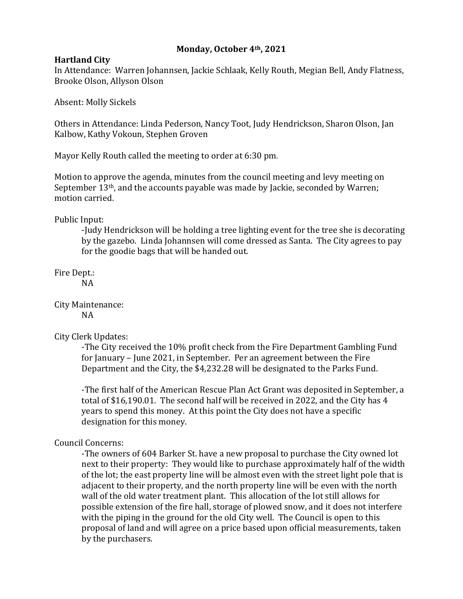## **Monday, October 4th, 2021**

## **Hartland City**

In Attendance: Warren Johannsen, Jackie Schlaak, Kelly Routh, Megian Bell, Andy Flatness, Brooke Olson, Allyson Olson

Absent: Molly Sickels

Others in Attendance: Linda Pederson, Nancy Toot, Judy Hendrickson, Sharon Olson, Jan Kalbow, Kathy Vokoun, Stephen Groven

Mayor Kelly Routh called the meeting to order at 6:30 pm.

Motion to approve the agenda, minutes from the council meeting and levy meeting on September 13<sup>th</sup>, and the accounts payable was made by Jackie, seconded by Warren; motion carried.

Public Input:

-Judy Hendrickson will be holding a tree lighting event for the tree she is decorating by the gazebo. Linda Johannsen will come dressed as Santa. The City agrees to pay for the goodie bags that will be handed out.

Fire Dept.:

NA

City Maintenance: NA

City Clerk Updates:

-The City received the 10% profit check from the Fire Department Gambling Fund for January – June 2021, in September. Per an agreement between the Fire Department and the City, the \$4,232.28 will be designated to the Parks Fund.

-The first half of the American Rescue Plan Act Grant was deposited in September, a total of \$16,190.01. The second half will be received in 2022, and the City has 4 years to spend this money. At this point the City does not have a specific designation for this money.

Council Concerns:

-The owners of 604 Barker St. have a new proposal to purchase the City owned lot next to their property: They would like to purchase approximately half of the width of the lot; the east property line will be almost even with the street light pole that is adjacent to their property, and the north property line will be even with the north wall of the old water treatment plant. This allocation of the lot still allows for possible extension of the fire hall, storage of plowed snow, and it does not interfere with the piping in the ground for the old City well. The Council is open to this proposal of land and will agree on a price based upon official measurements, taken by the purchasers.